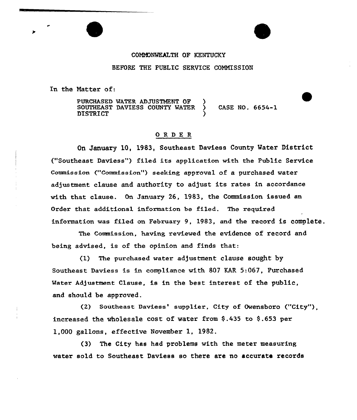## COMMONWEALTH OF KENTUCKY

### BEFORE THE PUBLIC SERVICE CQMNISSION

In the Natter of:

PURCHASED WATER ADJUSTMENT OF SOUTHEAST DAVIESS COUNTY WATER ) CASE NO. 6654-1 DISTRICT )

## ORDE <sup>R</sup>

On January 10, 1983, Southeast Daviess County Water District ("Southeast Daviess") filed its application with the Public Service Commission ("Commission") seeking approval of a purchased water adjustment clause and authority to adjust its rates in accordance with that clause. On January 26, 1983, the Commission issued an Order that additional information be filed. The xequired infoxmation was filed on Februaxy 9, 1983, and the record is complete.

The Commission, having reviewed the evidence of record and being advised, is of the opinion and finds that:

 $(1)$  The purchased water adjustment clause sought by Southeast Daviess is in compliance with 807 KAR  $5:067$ , Purchased Water Adjustment Clause, is in the best interest of the public, and should be approved.

(2) Southeast Daviess' supplier, City of Owensboro ("City"). increased the wholesale cost of water from \$.435 to \$.653 per 1,000 gallons, effective November 1, 1982.

(3) The City has had problems with the meter measuring water sold to Southeast Daviess so there are no accurate records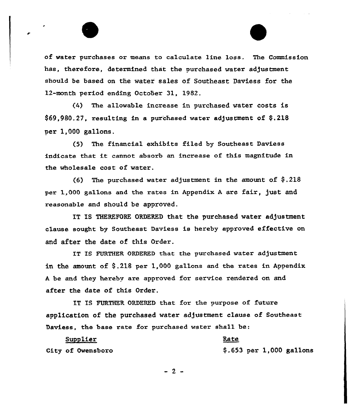of water purchases or means to calculate line loss. The Commission has, therefore, determined that the purchased water adjustment should be based on the water sales of Southeast Daviess for the 12-month period ending October 31, 1982.

(4) The allowable increase in purchased water costs is  $$69,980.27$ , resulting in a purchased water adjustment of  $$.218$ per 1,000 gallons.

(5) The financial exhibits filed by Southeast Daviess indicate that it cannot absorb an increase of this magnitude in the wholesale cost of water.

(6) The purchased water adjustment in the amount of  $\S$ .218 per 1,000 gallons and the rates in Appendix <sup>A</sup> are fair, just and reasonable and should be approved.

IT IS THEREFORE ORDERED that the purchased water adjustment clause sought by Southeast Daviess is hereby approved effective on and after the date of this Order.

IT IS FURTHER ORDERED that the purchased water adjustment in the amount of  $\S.218$  per 1,000 gallons and the rates in Appendix <sup>A</sup> be and they hereby are approved for service rendered on and after the date of this Order.

IT IS FURTHER ORDERED that for the purpose of future application of the purchased water adjustment clause of Southeast Daviess, the base rate for purchased water shall be:

Supplier City of Owensboro

\$ .653 per 1,000 gallons

Rate

 $-2-$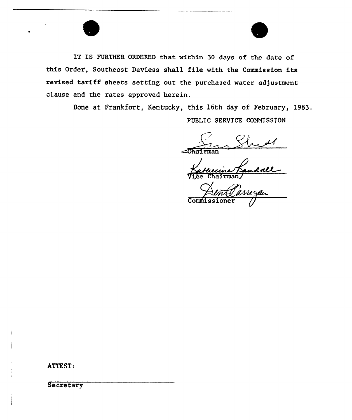



IT IS FURTHER ORDERED that within 30 days of the date of this Order, Southeast Daviess shall file with the Commission its revised tariff sheets setting out the purchased water adjustment clause and the rates approved herein.

Done at Frankfort, Kentucky, this 16th day of February, 1983,

PUBLIC SERVICE COMMISSION

 $\epsilon$ chairman

receine Kandall

Wegan **Commiss** 

ATTEST.

**Secretary**